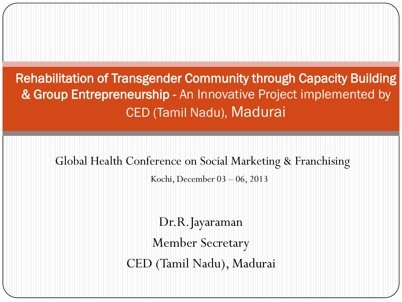Rehabilitation of Transgender Community through Capacity Building & Group Entrepreneurship - An Innovative Project implemented by CED (Tamil Nadu), Madurai

Global Health Conference on Social Marketing & Franchising

Kochi, December 03 – 06, 2013

Dr.R.Jayaraman Member Secretary CED (Tamil Nadu), Madurai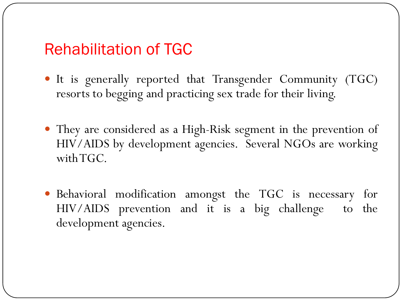#### Rehabilitation of TGC

- It is generally reported that Transgender Community (TGC) resorts to begging and practicing sex trade for their living.
- They are considered as a High-Risk segment in the prevention of HIV/AIDS by development agencies. Several NGOs are working with TGC.
- Behavioral modification amongst the TGC is necessary for HIV/AIDS prevention and it is a big challenge to the development agencies.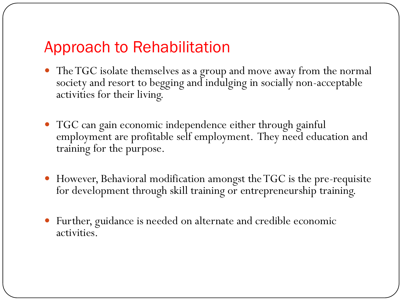# Approach to Rehabilitation

- The TGC isolate themselves as a group and move away from the normal society and resort to begging and indulging in socially non-acceptable activities for their living.
- TGC can gain economic independence either through gainful employment are profitable self employment. They need education and training for the purpose.
- However, Behavioral modification amongst the TGC is the pre-requisite for development through skill training or entrepreneurship training.
- Further, guidance is needed on alternate and credible economic activities.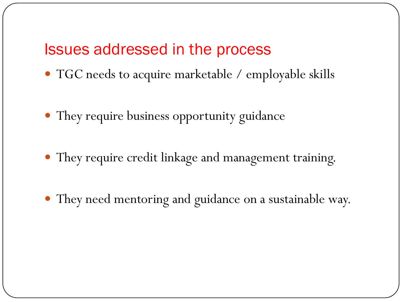#### Issues addressed in the process

- TGC needs to acquire marketable / employable skills
- They require business opportunity guidance
- They require credit linkage and management training.
- They need mentoring and guidance on a sustainable way.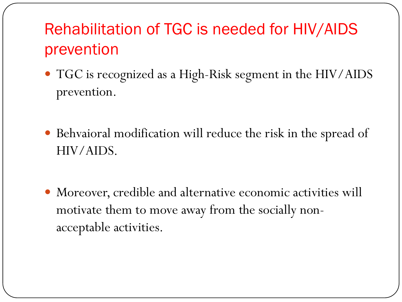# Rehabilitation of TGC is needed for HIV/AIDS prevention

- TGC is recognized as a High-Risk segment in the HIV/AIDS prevention.
- Behvaioral modification will reduce the risk in the spread of HIV/AIDS.
- Moreover, credible and alternative economic activities will motivate them to move away from the socially nonacceptable activities.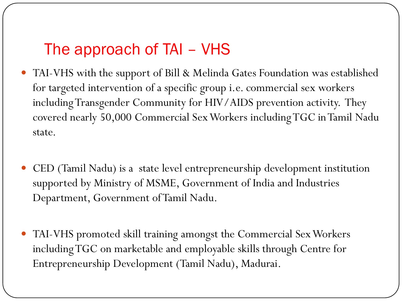# The approach of TAI – VHS

- TAI-VHS with the support of Bill & Melinda Gates Foundation was established for targeted intervention of a specific group i.e. commercial sex workers including Transgender Community for HIV/AIDS prevention activity. They covered nearly 50,000 Commercial Sex Workers including TGC in Tamil Nadu state.
- CED (Tamil Nadu) is a state level entrepreneurship development institution supported by Ministry of MSME, Government of India and Industries Department, Government of Tamil Nadu.
- TAI-VHS promoted skill training amongst the Commercial Sex Workers including TGC on marketable and employable skills through Centre for Entrepreneurship Development (Tamil Nadu), Madurai.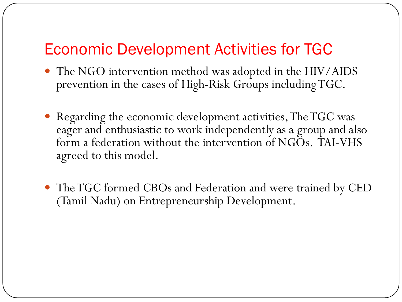### Economic Development Activities for TGC

- The NGO intervention method was adopted in the HIV/AIDS prevention in the cases of High-Risk Groups including TGC.
- Regarding the economic development activities, The TGC was eager and enthusiastic to work independently as a group and also form a federation without the intervention of NGOs. TAI-VHS agreed to this model.
- The TGC formed CBOs and Federation and were trained by CED (Tamil Nadu) on Entrepreneurship Development.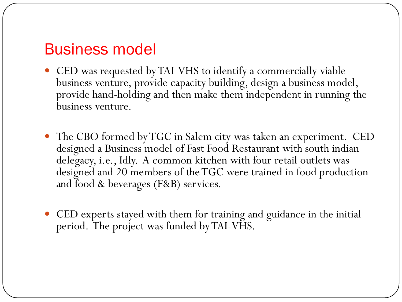#### Business model

- CED was requested by TAI-VHS to identify a commercially viable business venture, provide capacity building, design a business model, provide hand-holding and then make them independent in running the business venture.
- The CBO formed by TGC in Salem city was taken an experiment. CED designed a Business model of Fast Food Restaurant with south indian delegacy, i.e., Idly. A common kitchen with four retail outlets was designed and 20 members of the TGC were trained in food production and food & beverages (F&B) services.
- CED experts stayed with them for training and guidance in the initial period. The project was funded by TAI-VHS.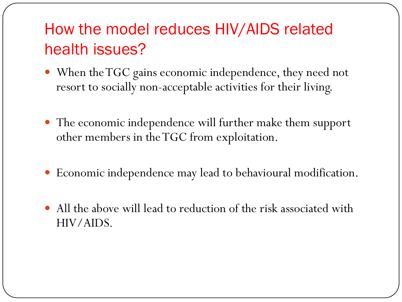# How the model reduces HIV/AIDS related health issues?

- When the TGC gains economic independence, they need not resort to socially non-acceptable activities for their living.
- The economic independence will further make them support other members in the TGC from exploitation.
- Economic independence may lead to behavioural modification.
- All the above will lead to reduction of the risk associated with HIV/AIDS.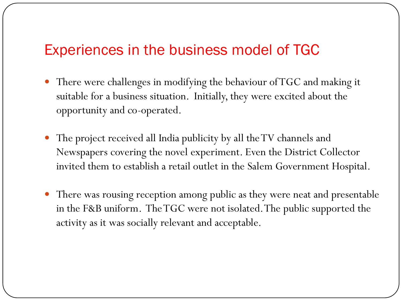#### Experiences in the business model of TGC

- There were challenges in modifying the behaviour of TGC and making it suitable for a business situation. Initially, they were excited about the opportunity and co-operated.
- The project received all India publicity by all the TV channels and Newspapers covering the novel experiment. Even the District Collector invited them to establish a retail outlet in the Salem Government Hospital.
- There was rousing reception among public as they were neat and presentable in the F&B uniform. The TGC were not isolated. The public supported the activity as it was socially relevant and acceptable.